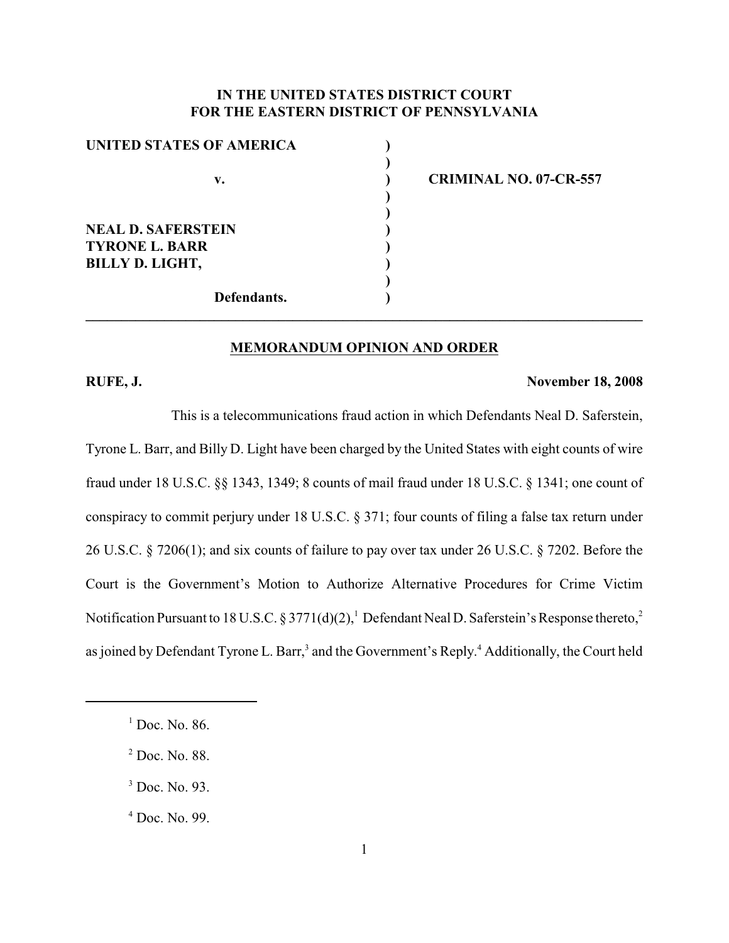## **IN THE UNITED STATES DISTRICT COURT FOR THE EASTERN DISTRICT OF PENNSYLVANIA**

**)**

**) )**

**)**

| UNITED STATES OF AMERICA  |  |
|---------------------------|--|
|                           |  |
| v.                        |  |
|                           |  |
|                           |  |
| <b>NEAL D. SAFERSTEIN</b> |  |
| <b>TYRONE L. BARR</b>     |  |
| <b>BILLY D. LIGHT,</b>    |  |
|                           |  |
| Defendants.               |  |

**v. ) CRIMINAL NO. 07-CR-557**

## **MEMORANDUM OPINION AND ORDER**

**\_\_\_\_\_\_\_\_\_\_\_\_\_\_\_\_\_\_\_\_\_\_\_\_\_\_\_\_\_\_\_\_\_\_\_\_\_\_\_\_\_\_\_\_\_\_\_\_\_\_\_\_\_\_\_\_\_\_\_\_\_\_\_\_\_\_\_\_\_\_\_\_\_\_\_\_\_\_**

#### **RUFE, J. November 18, 2008**

This is a telecommunications fraud action in which Defendants Neal D. Saferstein, Tyrone L. Barr, and Billy D. Light have been charged by the United States with eight counts of wire fraud under 18 U.S.C. §§ 1343, 1349; 8 counts of mail fraud under 18 U.S.C. § 1341; one count of conspiracy to commit perjury under 18 U.S.C. § 371; four counts of filing a false tax return under 26 U.S.C. § 7206(1); and six counts of failure to pay over tax under 26 U.S.C. § 7202. Before the Court is the Government's Motion to Authorize Alternative Procedures for Crime Victim Notification Pursuant to 18 U.S.C. § 3771(d)(2),<sup>1</sup> Defendant Neal D. Saferstein's Response thereto,<sup>2</sup> as joined by Defendant Tyrone L. Barr,<sup>3</sup> and the Government's Reply.<sup>4</sup> Additionally, the Court held

 $<sup>1</sup>$  Doc. No. 86.</sup>

 $<sup>2</sup>$  Doc. No. 88.</sup>

 $3$  Doc. No. 93.

 $4$  Doc. No. 99.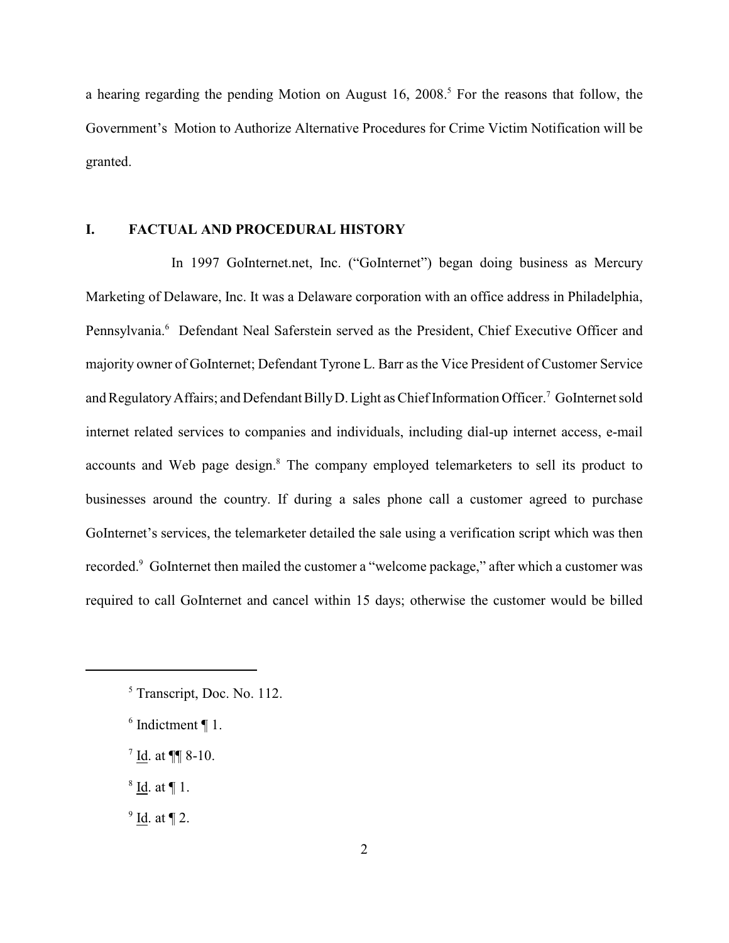a hearing regarding the pending Motion on August 16, 2008.<sup>5</sup> For the reasons that follow, the Government's Motion to Authorize Alternative Procedures for Crime Victim Notification will be granted.

#### **I. FACTUAL AND PROCEDURAL HISTORY**

In 1997 GoInternet.net, Inc. ("GoInternet") began doing business as Mercury Marketing of Delaware, Inc. It was a Delaware corporation with an office address in Philadelphia, Pennsylvania.<sup>6</sup> Defendant Neal Saferstein served as the President, Chief Executive Officer and majority owner of GoInternet; Defendant Tyrone L. Barr as the Vice President of Customer Service and Regulatory Affairs; and Defendant Billy D. Light as Chief Information Officer.<sup>7</sup> GoInternet sold internet related services to companies and individuals, including dial-up internet access, e-mail accounts and Web page design.<sup>8</sup> The company employed telemarketers to sell its product to businesses around the country. If during a sales phone call a customer agreed to purchase GoInternet's services, the telemarketer detailed the sale using a verification script which was then recorded.<sup>9</sup> GoInternet then mailed the customer a "welcome package," after which a customer was required to call GoInternet and cancel within 15 days; otherwise the customer would be billed

 $9$  Id. at  $\P$  2.

 $<sup>5</sup>$  Transcript, Doc. No. 112.</sup>

 $6$  Indictment  $\P$  1.

 $^7$  Id. at ¶¶ 8-10.

 $8$  Id. at ¶ 1.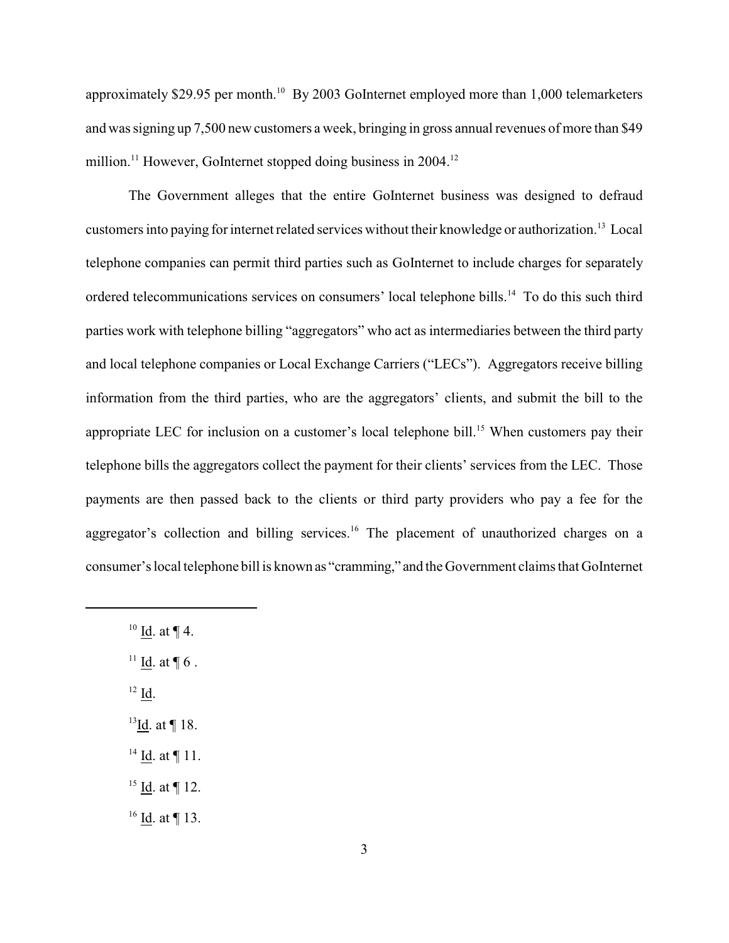approximately \$29.95 per month.<sup>10</sup> By 2003 GoInternet employed more than 1,000 telemarketers and was signing up 7,500 new customers a week, bringing in gross annual revenues of more than \$49 million.<sup>11</sup> However, GoInternet stopped doing business in  $2004$ .<sup>12</sup>

The Government alleges that the entire GoInternet business was designed to defraud customers into paying for internet related services without their knowledge or authorization.<sup>13</sup> Local telephone companies can permit third parties such as GoInternet to include charges for separately ordered telecommunications services on consumers' local telephone bills.<sup>14</sup> To do this such third parties work with telephone billing "aggregators" who act as intermediaries between the third party and local telephone companies or Local Exchange Carriers ("LECs"). Aggregators receive billing information from the third parties, who are the aggregators' clients, and submit the bill to the appropriate LEC for inclusion on a customer's local telephone bill.<sup>15</sup> When customers pay their telephone bills the aggregators collect the payment for their clients' services from the LEC. Those payments are then passed back to the clients or third party providers who pay a fee for the aggregator's collection and billing services.<sup>16</sup> The placement of unauthorized charges on a consumer's local telephone bill is known as "cramming," and the Government claims that GoInternet

- $^{10}$  Id. at ¶ 4.
- $\frac{11}{10}$ . at  $\P$  6.
- $^{12}$  Id.
- $13$ Id. at ¶ 18.
- $14$  Id. at  $\P$  11.
- $15$  Id. at ¶ 12.
- $16$  Id. at ¶ 13.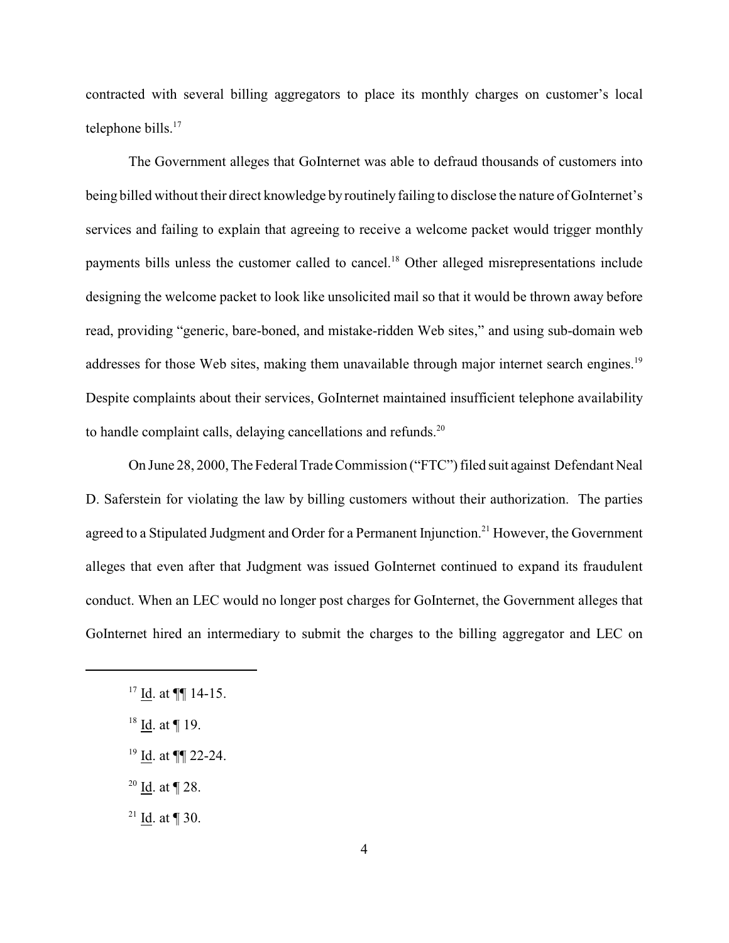contracted with several billing aggregators to place its monthly charges on customer's local telephone bills.<sup>17</sup>

The Government alleges that GoInternet was able to defraud thousands of customers into being billed without their direct knowledge by routinely failing to disclose the nature of GoInternet's services and failing to explain that agreeing to receive a welcome packet would trigger monthly payments bills unless the customer called to cancel.<sup>18</sup> Other alleged misrepresentations include designing the welcome packet to look like unsolicited mail so that it would be thrown away before read, providing "generic, bare-boned, and mistake-ridden Web sites," and using sub-domain web addresses for those Web sites, making them unavailable through major internet search engines.<sup>19</sup> Despite complaints about their services, GoInternet maintained insufficient telephone availability to handle complaint calls, delaying cancellations and refunds. $20$ 

On June 28, 2000, The Federal Trade Commission ("FTC") filed suit against Defendant Neal D. Saferstein for violating the law by billing customers without their authorization. The parties agreed to a Stipulated Judgment and Order for a Permanent Injunction.<sup>21</sup> However, the Government alleges that even after that Judgment was issued GoInternet continued to expand its fraudulent conduct. When an LEC would no longer post charges for GoInternet, the Government alleges that GoInternet hired an intermediary to submit the charges to the billing aggregator and LEC on

<sup>20</sup> <u>Id</u>. at ¶ 28.

<sup>21</sup> Id. at ¶ 30.

 $17$  Id. at  $\P\P$  14-15.

 $18$  Id. at ¶ 19.

 $19$  Id. at  $\P\P$  22-24.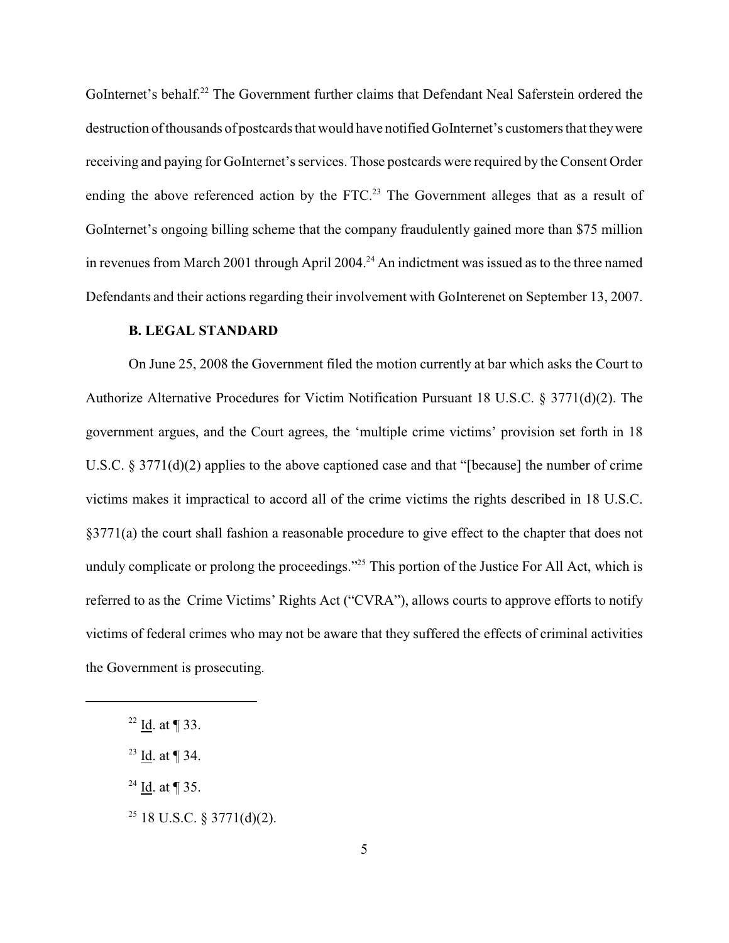GoInternet's behalf.<sup>22</sup> The Government further claims that Defendant Neal Saferstein ordered the destruction of thousands of postcards that would have notified GoInternet's customers that they were receiving and paying for GoInternet's services. Those postcards were required by the Consent Order ending the above referenced action by the FTC.<sup>23</sup> The Government alleges that as a result of GoInternet's ongoing billing scheme that the company fraudulently gained more than \$75 million in revenues from March 2001 through April 2004.<sup>24</sup> An indictment was issued as to the three named Defendants and their actions regarding their involvement with GoInterenet on September 13, 2007.

#### **B. LEGAL STANDARD**

On June 25, 2008 the Government filed the motion currently at bar which asks the Court to Authorize Alternative Procedures for Victim Notification Pursuant 18 U.S.C. § 3771(d)(2). The government argues, and the Court agrees, the 'multiple crime victims' provision set forth in 18 U.S.C. § 3771(d)(2) applies to the above captioned case and that "[because] the number of crime victims makes it impractical to accord all of the crime victims the rights described in 18 U.S.C. §3771(a) the court shall fashion a reasonable procedure to give effect to the chapter that does not unduly complicate or prolong the proceedings."<sup>25</sup> This portion of the Justice For All Act, which is referred to as the Crime Victims' Rights Act ("CVRA"), allows courts to approve efforts to notify victims of federal crimes who may not be aware that they suffered the effects of criminal activities the Government is prosecuting.

- <sup>24</sup> Id. at  $\P$  35.
- <sup>25</sup> 18 U.S.C. § 3771(d)(2).

<sup>&</sup>lt;sup>22</sup> Id. at ¶ 33.

<sup>&</sup>lt;sup>23</sup> Id. at  $\P$  34.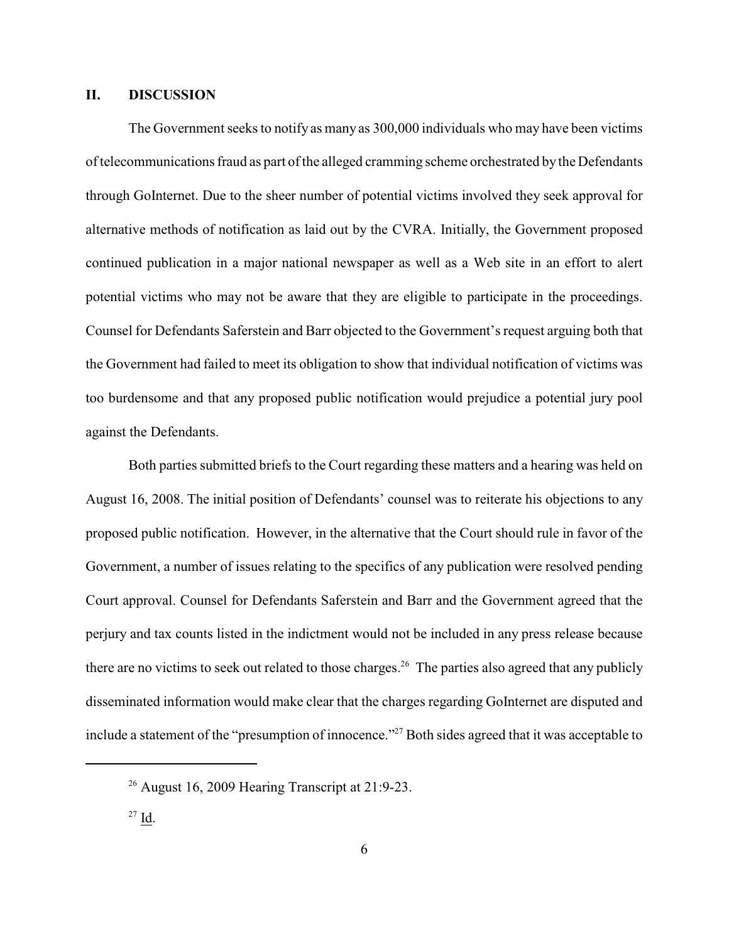#### **II. DISCUSSION**

The Government seeks to notify as many as 300,000 individuals who may have been victims of telecommunications fraud as part of the alleged cramming scheme orchestrated by the Defendants through GoInternet. Due to the sheer number of potential victims involved they seek approval for alternative methods of notification as laid out by the CVRA. Initially, the Government proposed continued publication in a major national newspaper as well as a Web site in an effort to alert potential victims who may not be aware that they are eligible to participate in the proceedings. Counsel for Defendants Saferstein and Barr objected to the Government's request arguing both that the Government had failed to meet its obligation to show that individual notification of victims was too burdensome and that any proposed public notification would prejudice a potential jury pool against the Defendants.

Both parties submitted briefs to the Court regarding these matters and a hearing was held on August 16, 2008. The initial position of Defendants' counsel was to reiterate his objections to any proposed public notification. However, in the alternative that the Court should rule in favor of the Government, a number of issues relating to the specifics of any publication were resolved pending Court approval. Counsel for Defendants Saferstein and Barr and the Government agreed that the perjury and tax counts listed in the indictment would not be included in any press release because there are no victims to seek out related to those charges.<sup>26</sup> The parties also agreed that any publicly disseminated information would make clear that the charges regarding GoInternet are disputed and include a statement of the "presumption of innocence."<sup>27</sup> Both sides agreed that it was acceptable to

<sup>&</sup>lt;sup>26</sup> August 16, 2009 Hearing Transcript at 21:9-23.

 $27$  Id.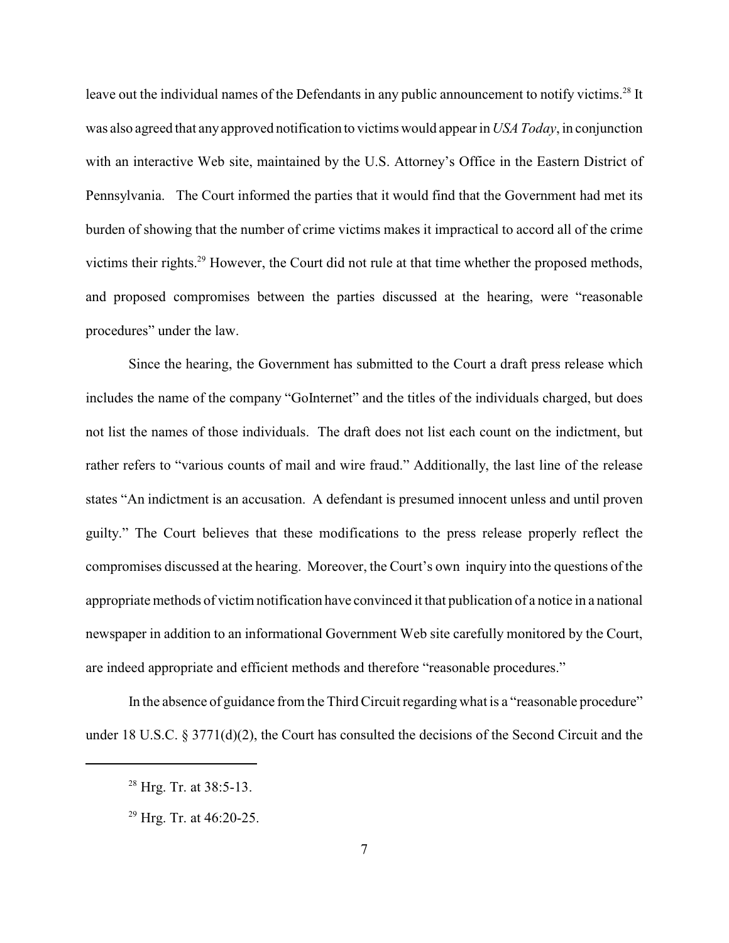leave out the individual names of the Defendants in any public announcement to notify victims.<sup>28</sup> It was also agreed that any approved notification to victims would appear in *USA Today*, in conjunction with an interactive Web site, maintained by the U.S. Attorney's Office in the Eastern District of Pennsylvania. The Court informed the parties that it would find that the Government had met its burden of showing that the number of crime victims makes it impractical to accord all of the crime victims their rights.<sup>29</sup> However, the Court did not rule at that time whether the proposed methods, and proposed compromises between the parties discussed at the hearing, were "reasonable procedures" under the law.

Since the hearing, the Government has submitted to the Court a draft press release which includes the name of the company "GoInternet" and the titles of the individuals charged, but does not list the names of those individuals. The draft does not list each count on the indictment, but rather refers to "various counts of mail and wire fraud." Additionally, the last line of the release states "An indictment is an accusation. A defendant is presumed innocent unless and until proven guilty." The Court believes that these modifications to the press release properly reflect the compromises discussed at the hearing. Moreover, the Court's own inquiry into the questions of the appropriate methods of victim notification have convinced it that publication of a notice in a national newspaper in addition to an informational Government Web site carefully monitored by the Court, are indeed appropriate and efficient methods and therefore "reasonable procedures."

In the absence of guidance from the Third Circuit regarding what is a "reasonable procedure" under 18 U.S.C.  $\S 3771(d)(2)$ , the Court has consulted the decisions of the Second Circuit and the

 $28$  Hrg. Tr. at 38:5-13.

 $29$  Hrg. Tr. at 46:20-25.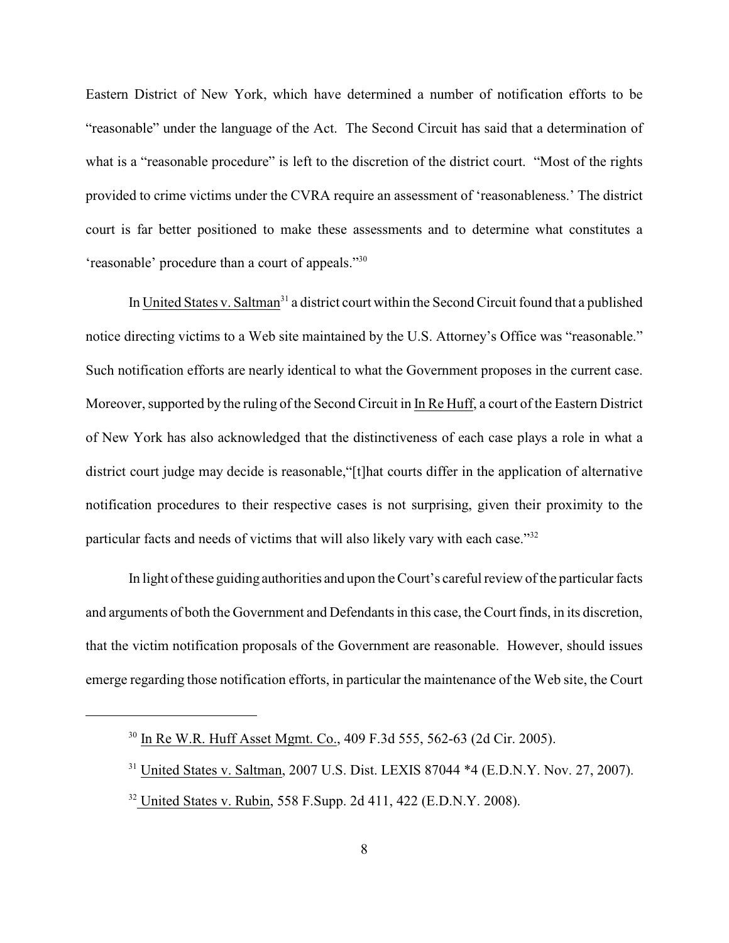Eastern District of New York, which have determined a number of notification efforts to be "reasonable" under the language of the Act. The Second Circuit has said that a determination of what is a "reasonable procedure" is left to the discretion of the district court. "Most of the rights provided to crime victims under the CVRA require an assessment of 'reasonableness.' The district court is far better positioned to make these assessments and to determine what constitutes a 'reasonable' procedure than a court of appeals."<sup>30</sup>

In United States v. Saltman<sup>31</sup> a district court within the Second Circuit found that a published notice directing victims to a Web site maintained by the U.S. Attorney's Office was "reasonable." Such notification efforts are nearly identical to what the Government proposes in the current case. Moreover, supported by the ruling of the Second Circuit in In Re Huff, a court of the Eastern District of New York has also acknowledged that the distinctiveness of each case plays a role in what a district court judge may decide is reasonable,"[t]hat courts differ in the application of alternative notification procedures to their respective cases is not surprising, given their proximity to the particular facts and needs of victims that will also likely vary with each case."<sup>32</sup>

In light ofthese guiding authorities and upon the Court's careful review of the particular facts and arguments of both the Government and Defendants in this case, the Court finds, in its discretion, that the victim notification proposals of the Government are reasonable. However, should issues emerge regarding those notification efforts, in particular the maintenance of the Web site, the Court

<sup>&</sup>lt;sup>30</sup> In Re W.R. Huff Asset Mgmt. Co., 409 F.3d 555, 562-63 (2d Cir. 2005).

 $31$  United States v. Saltman, 2007 U.S. Dist. LEXIS 87044  $*4$  (E.D.N.Y. Nov. 27, 2007).

<sup>&</sup>lt;sup>32</sup> United States v. Rubin, 558 F.Supp. 2d 411, 422 (E.D.N.Y. 2008).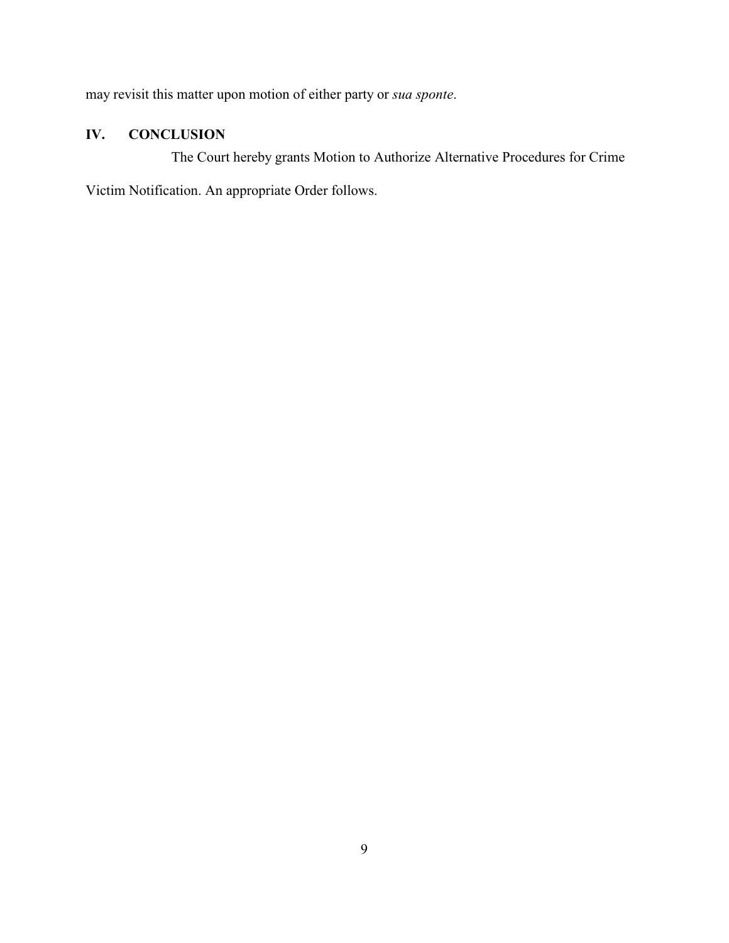may revisit this matter upon motion of either party or *sua sponte*.

## **IV. CONCLUSION**

The Court hereby grants Motion to Authorize Alternative Procedures for Crime

Victim Notification. An appropriate Order follows.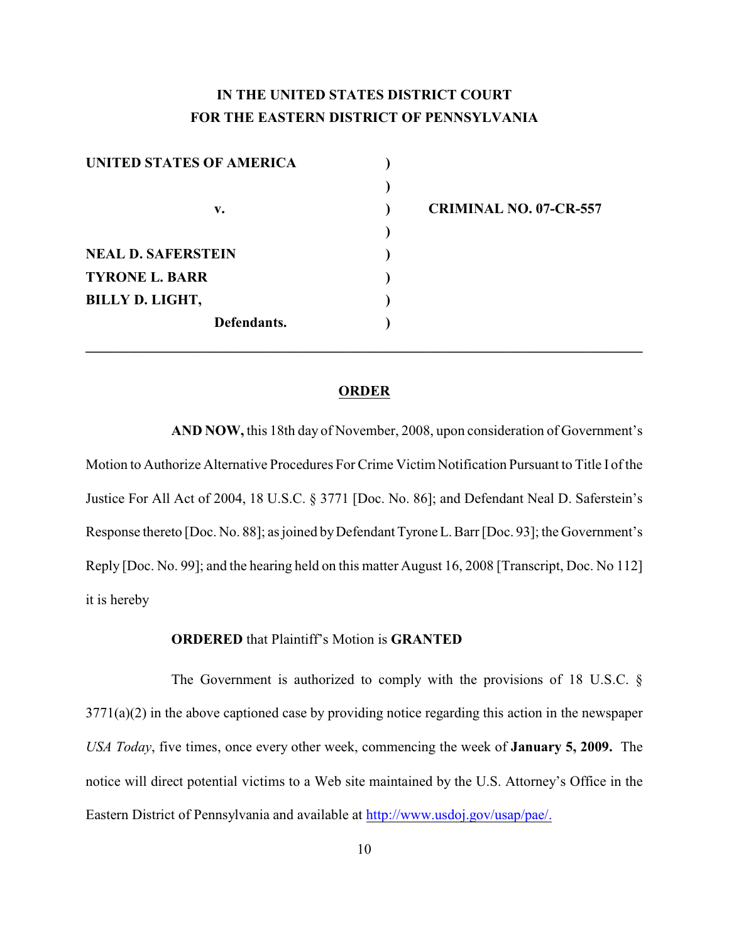# **IN THE UNITED STATES DISTRICT COURT FOR THE EASTERN DISTRICT OF PENNSYLVANIA**

| UNITED STATES OF AMERICA  |                               |
|---------------------------|-------------------------------|
|                           |                               |
| v.                        | <b>CRIMINAL NO. 07-CR-557</b> |
|                           |                               |
| <b>NEAL D. SAFERSTEIN</b> |                               |
| <b>TYRONE L. BARR</b>     |                               |
| <b>BILLY D. LIGHT,</b>    |                               |
| Defendants.               |                               |
|                           |                               |

#### **ORDER**

**AND NOW,** this 18th day of November, 2008, upon consideration of Government's Motion to Authorize Alternative Procedures For Crime Victim Notification Pursuant to Title I of the Justice For All Act of 2004, 18 U.S.C. § 3771 [Doc. No. 86]; and Defendant Neal D. Saferstein's Response thereto [Doc. No. 88]; as joined byDefendant Tyrone L. Barr [Doc. 93]; the Government's Reply [Doc. No. 99]; and the hearing held on this matter August 16, 2008 [Transcript, Doc. No 112] it is hereby

#### **ORDERED** that Plaintiff's Motion is **GRANTED**

The Government is authorized to comply with the provisions of 18 U.S.C. § 3771(a)(2) in the above captioned case by providing notice regarding this action in the newspaper *USA Today*, five times, once every other week, commencing the week of **January 5, 2009.** The notice will direct potential victims to a Web site maintained by the U.S. Attorney's Office in the Eastern District of Pennsylvania and available at<http://www.usdoj.gov/usap/pae/.>